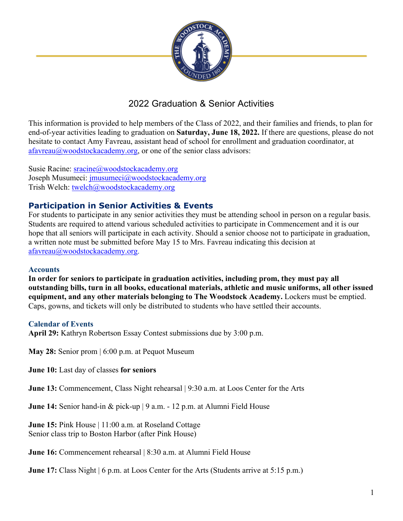

# 2022 Graduation & Senior Activities

This information is provided to help members of the Class of 2022, and their families and friends, to plan for end-of-year activities leading to graduation on **Saturday, June 18, 2022.** If there are questions, please do not hesitate to contact Amy Favreau, assistant head of school for enrollment and graduation coordinator, at  $a$ favreau $@$ woodstockacademy.org, or one of the senior class advisors:

Susie Racine: sracine@woodstockacademy.org Joseph Musumeci: *jmusumeci@woodstockacademy.org* Trish Welch: twelch@woodstockacademy.org

# **Participation in Senior Activities & Events**

For students to participate in any senior activities they must be attending school in person on a regular basis. Students are required to attend various scheduled activities to participate in Commencement and it is our hope that all seniors will participate in each activity. Should a senior choose not to participate in graduation, a written note must be submitted before May 15 to Mrs. Favreau indicating this decision at afavreau@woodstockacademy.org.

## **Accounts**

**In order for seniors to participate in graduation activities, including prom, they must pay all outstanding bills, turn in all books, educational materials, athletic and music uniforms, all other issued equipment, and any other materials belonging to The Woodstock Academy.** Lockers must be emptied. Caps, gowns, and tickets will only be distributed to students who have settled their accounts.

## **Calendar of Events**

**April 29:** Kathryn Robertson Essay Contest submissions due by 3:00 p.m.

**May 28:** Senior prom | 6:00 p.m. at Pequot Museum

**June 10:** Last day of classes **for seniors**

**June 13:** Commencement, Class Night rehearsal | 9:30 a.m. at Loos Center for the Arts

**June 14:** Senior hand-in & pick-up | 9 a.m. - 12 p.m. at Alumni Field House

**June 15:** Pink House | 11:00 a.m. at Roseland Cottage Senior class trip to Boston Harbor (after Pink House)

**June 16:** Commencement rehearsal | 8:30 a.m. at Alumni Field House

**June 17:** Class Night | 6 p.m. at Loos Center for the Arts (Students arrive at 5:15 p.m.)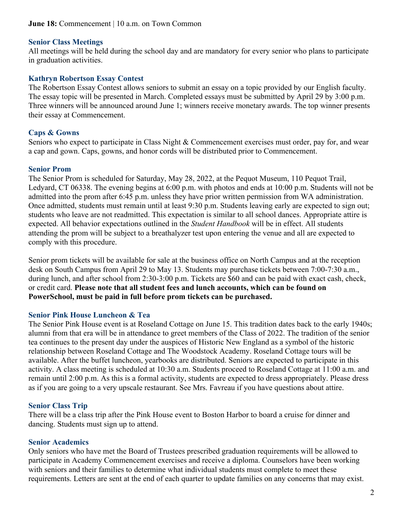## **Senior Class Meetings**

All meetings will be held during the school day and are mandatory for every senior who plans to participate in graduation activities.

## **Kathryn Robertson Essay Contest**

The Robertson Essay Contest allows seniors to submit an essay on a topic provided by our English faculty. The essay topic will be presented in March. Completed essays must be submitted by April 29 by 3:00 p.m. Three winners will be announced around June 1; winners receive monetary awards. The top winner presents their essay at Commencement.

## **Caps & Gowns**

Seniors who expect to participate in Class Night & Commencement exercises must order, pay for, and wear a cap and gown. Caps, gowns, and honor cords will be distributed prior to Commencement.

## **Senior Prom**

The Senior Prom is scheduled for Saturday, May 28, 2022, at the Pequot Museum, 110 Pequot Trail, Ledyard, CT 06338. The evening begins at 6:00 p.m. with photos and ends at 10:00 p.m. Students will not be admitted into the prom after 6:45 p.m. unless they have prior written permission from WA administration. Once admitted, students must remain until at least 9:30 p.m. Students leaving early are expected to sign out; students who leave are not readmitted. This expectation is similar to all school dances. Appropriate attire is expected. All behavior expectations outlined in the *Student Handbook* will be in effect. All students attending the prom will be subject to a breathalyzer test upon entering the venue and all are expected to comply with this procedure.

Senior prom tickets will be available for sale at the business office on North Campus and at the reception desk on South Campus from April 29 to May 13. Students may purchase tickets between 7:00-7:30 a.m., during lunch, and after school from 2:30-3:00 p.m. Tickets are \$60 and can be paid with exact cash, check, or credit card. **Please note that all student fees and lunch accounts, which can be found on PowerSchool, must be paid in full before prom tickets can be purchased.**

#### **Senior Pink House Luncheon & Tea**

The Senior Pink House event is at Roseland Cottage on June 15. This tradition dates back to the early 1940s; alumni from that era will be in attendance to greet members of the Class of 2022. The tradition of the senior tea continues to the present day under the auspices of Historic New England as a symbol of the historic relationship between Roseland Cottage and The Woodstock Academy. Roseland Cottage tours will be available. After the buffet luncheon, yearbooks are distributed. Seniors are expected to participate in this activity. A class meeting is scheduled at 10:30 a.m. Students proceed to Roseland Cottage at 11:00 a.m. and remain until 2:00 p.m. As this is a formal activity, students are expected to dress appropriately. Please dress as if you are going to a very upscale restaurant. See Mrs. Favreau if you have questions about attire.

#### **Senior Class Trip**

There will be a class trip after the Pink House event to Boston Harbor to board a cruise for dinner and dancing. Students must sign up to attend.

## **Senior Academics**

Only seniors who have met the Board of Trustees prescribed graduation requirements will be allowed to participate in Academy Commencement exercises and receive a diploma. Counselors have been working with seniors and their families to determine what individual students must complete to meet these requirements. Letters are sent at the end of each quarter to update families on any concerns that may exist.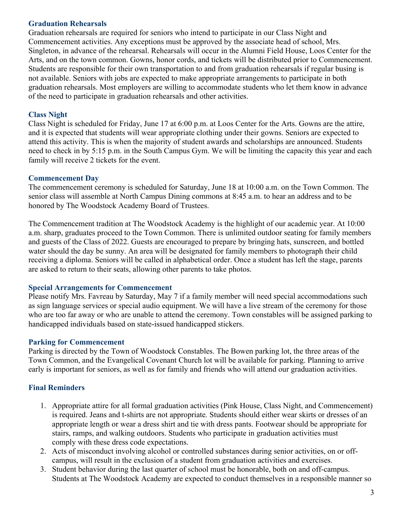## **Graduation Rehearsals**

Graduation rehearsals are required for seniors who intend to participate in our Class Night and Commencement activities. Any exceptions must be approved by the associate head of school, Mrs. Singleton, in advance of the rehearsal. Rehearsals will occur in the Alumni Field House, Loos Center for the Arts, and on the town common. Gowns, honor cords, and tickets will be distributed prior to Commencement. Students are responsible for their own transportation to and from graduation rehearsals if regular busing is not available. Seniors with jobs are expected to make appropriate arrangements to participate in both graduation rehearsals. Most employers are willing to accommodate students who let them know in advance of the need to participate in graduation rehearsals and other activities.

## **Class Night**

Class Night is scheduled for Friday, June 17 at 6:00 p.m. at Loos Center for the Arts. Gowns are the attire, and it is expected that students will wear appropriate clothing under their gowns. Seniors are expected to attend this activity. This is when the majority of student awards and scholarships are announced. Students need to check in by 5:15 p.m. in the South Campus Gym. We will be limiting the capacity this year and each family will receive 2 tickets for the event.

#### **Commencement Day**

The commencement ceremony is scheduled for Saturday, June 18 at 10:00 a.m. on the Town Common. The senior class will assemble at North Campus Dining commons at 8:45 a.m. to hear an address and to be honored by The Woodstock Academy Board of Trustees.

The Commencement tradition at The Woodstock Academy is the highlight of our academic year. At 10:00 a.m. sharp, graduates proceed to the Town Common. There is unlimited outdoor seating for family members and guests of the Class of 2022. Guests are encouraged to prepare by bringing hats, sunscreen, and bottled water should the day be sunny. An area will be designated for family members to photograph their child receiving a diploma. Seniors will be called in alphabetical order. Once a student has left the stage, parents are asked to return to their seats, allowing other parents to take photos.

#### **Special Arrangements for Commencement**

Please notify Mrs. Favreau by Saturday, May 7 if a family member will need special accommodations such as sign language services or special audio equipment. We will have a live stream of the ceremony for those who are too far away or who are unable to attend the ceremony. Town constables will be assigned parking to handicapped individuals based on state-issued handicapped stickers.

#### **Parking for Commencement**

Parking is directed by the Town of Woodstock Constables. The Bowen parking lot, the three areas of the Town Common, and the Evangelical Covenant Church lot will be available for parking. Planning to arrive early is important for seniors, as well as for family and friends who will attend our graduation activities.

## **Final Reminders**

- 1. Appropriate attire for all formal graduation activities (Pink House, Class Night, and Commencement) is required. Jeans and t-shirts are not appropriate*.* Students should either wear skirts or dresses of an appropriate length or wear a dress shirt and tie with dress pants. Footwear should be appropriate for stairs, ramps, and walking outdoors. Students who participate in graduation activities must comply with these dress code expectations.
- 2. Acts of misconduct involving alcohol or controlled substances during senior activities, on or offcampus, will result in the exclusion of a student from graduation activities and exercises.
- 3. Student behavior during the last quarter of school must be honorable, both on and off-campus. Students at The Woodstock Academy are expected to conduct themselves in a responsible manner so